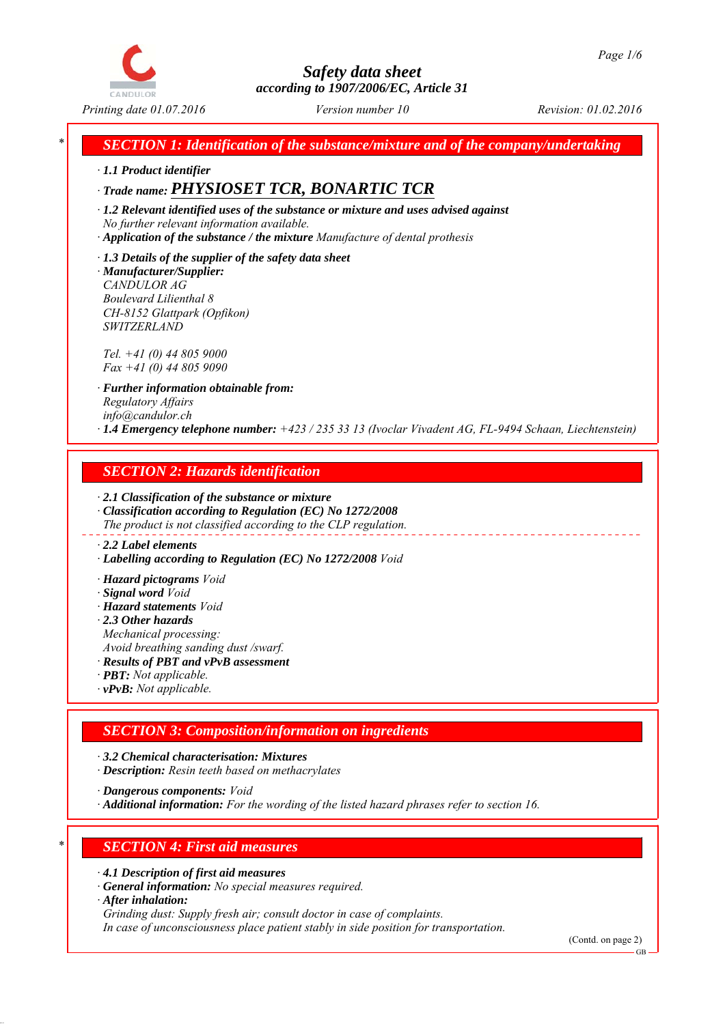

*Printing date 01.07.2016 Revision: 01.02.2016 Version number 10*

*\* SECTION 1: Identification of the substance/mixture and of the company/undertaking*

*∙ 1.1 Product identifier*

# *∙ Trade name: PHYSIOSET TCR, BONARTIC TCR*

*∙ 1.2 Relevant identified uses of the substance or mixture and uses advised against No further relevant information available.*

- *∙ Application of the substance / the mixture Manufacture of dental prothesis*
- *∙ 1.3 Details of the supplier of the safety data sheet*

*∙ Manufacturer/Supplier: CANDULOR AG Boulevard Lilienthal 8 CH-8152 Glattpark (Opfikon) SWITZERLAND*

*Tel. +41 (0) 44 805 9000 Fax +41 (0) 44 805 9090*

*∙ Further information obtainable from: Regulatory Affairs info@candulor.ch ∙ 1.4 Emergency telephone number: +423 / 235 33 13 (Ivoclar Vivadent AG, FL-9494 Schaan, Liechtenstein)*

### *SECTION 2: Hazards identification*

*∙ 2.1 Classification of the substance or mixture ∙ Classification according to Regulation (EC) No 1272/2008 The product is not classified according to the CLP regulation.*

#### *∙ 2.2 Label elements*

*∙ Labelling according to Regulation (EC) No 1272/2008 Void*

- *∙ Hazard pictograms Void*
- *∙ Signal word Void*
- *∙ Hazard statements Void*
- *∙ 2.3 Other hazards*
- *Mechanical processing:*
- *Avoid breathing sanding dust /swarf.*
- *∙ Results of PBT and vPvB assessment*
- *∙ PBT: Not applicable.*
- *∙ vPvB: Not applicable.*

# *SECTION 3: Composition/information on ingredients*

*∙ 3.2 Chemical characterisation: Mixtures*

*∙ Description: Resin teeth based on methacrylates*

*∙ Dangerous components: Void*

*∙ Additional information: For the wording of the listed hazard phrases refer to section 16.*

# *\* SECTION 4: First aid measures*

- *∙ 4.1 Description of first aid measures*
- *∙ General information: No special measures required.*
- *∙ After inhalation:*

*Grinding dust: Supply fresh air; consult doctor in case of complaints.*

*In case of unconsciousness place patient stably in side position for transportation.*

(Contd. on page 2)

GB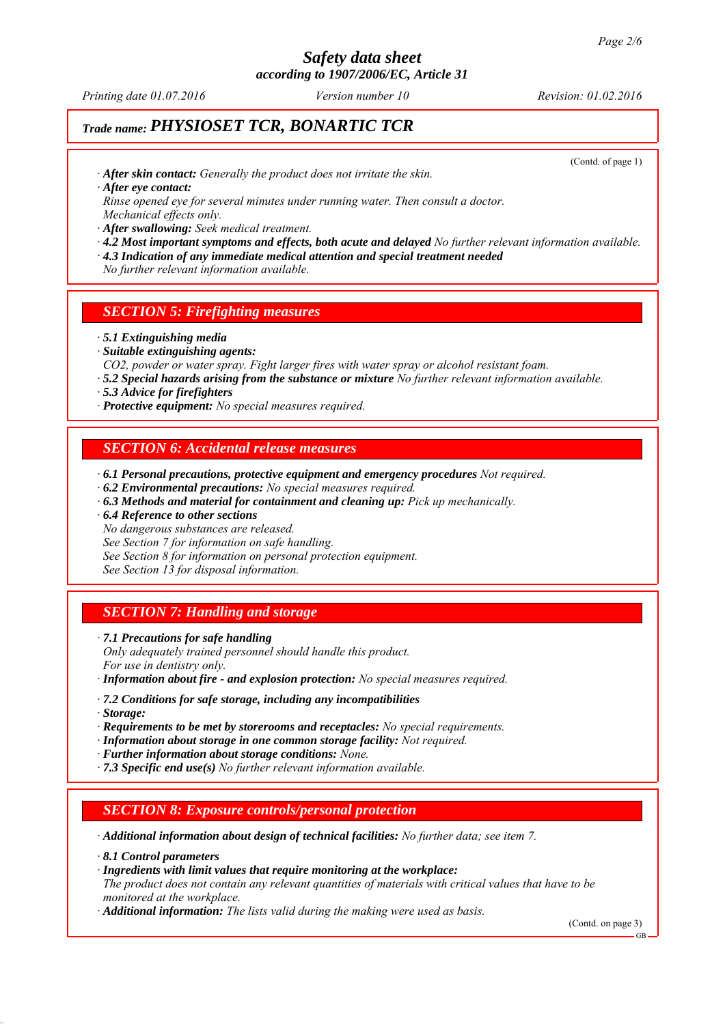*Printing date 01.07.2016 Revision: 01.02.2016 Version number 10*

# *Trade name: PHYSIOSET TCR, BONARTIC TCR*

(Contd. of page 1)

*∙ After skin contact: Generally the product does not irritate the skin.*

*∙ After eye contact:*

*Rinse opened eye for several minutes under running water. Then consult a doctor. Mechanical effects only.*

*∙ After swallowing: Seek medical treatment.*

- *∙ 4.2 Most important symptoms and effects, both acute and delayed No further relevant information available.*
- *∙ 4.3 Indication of any immediate medical attention and special treatment needed*
- *No further relevant information available.*

### *SECTION 5: Firefighting measures*

- *∙ 5.1 Extinguishing media*
- *∙ Suitable extinguishing agents:*
- *CO2, powder or water spray. Fight larger fires with water spray or alcohol resistant foam.*
- *∙ 5.2 Special hazards arising from the substance or mixture No further relevant information available.*
- *∙ 5.3 Advice for firefighters*
- *∙ Protective equipment: No special measures required.*

### *SECTION 6: Accidental release measures*

- *∙ 6.1 Personal precautions, protective equipment and emergency procedures Not required.*
- *∙ 6.2 Environmental precautions: No special measures required.*
- *∙ 6.3 Methods and material for containment and cleaning up: Pick up mechanically.*
- *∙ 6.4 Reference to other sections*
- *No dangerous substances are released.*

*See Section 7 for information on safe handling.*

*See Section 8 for information on personal protection equipment.*

*See Section 13 for disposal information.*

### *SECTION 7: Handling and storage*

*∙ 7.1 Precautions for safe handling Only adequately trained personnel should handle this product. For use in dentistry only.*

*∙ Information about fire - and explosion protection: No special measures required.*

- *∙ 7.2 Conditions for safe storage, including any incompatibilities*
- *∙ Storage:*
- *∙ Requirements to be met by storerooms and receptacles: No special requirements.*
- *∙ Information about storage in one common storage facility: Not required.*
- *∙ Further information about storage conditions: None.*
- *∙ 7.3 Specific end use(s) No further relevant information available.*

### *SECTION 8: Exposure controls/personal protection*

*∙ Additional information about design of technical facilities: No further data; see item 7.*

- *∙ 8.1 Control parameters*
- *∙ Ingredients with limit values that require monitoring at the workplace:*

*The product does not contain any relevant quantities of materials with critical values that have to be monitored at the workplace.*

*∙ Additional information: The lists valid during the making were used as basis.*

(Contd. on page 3)

GB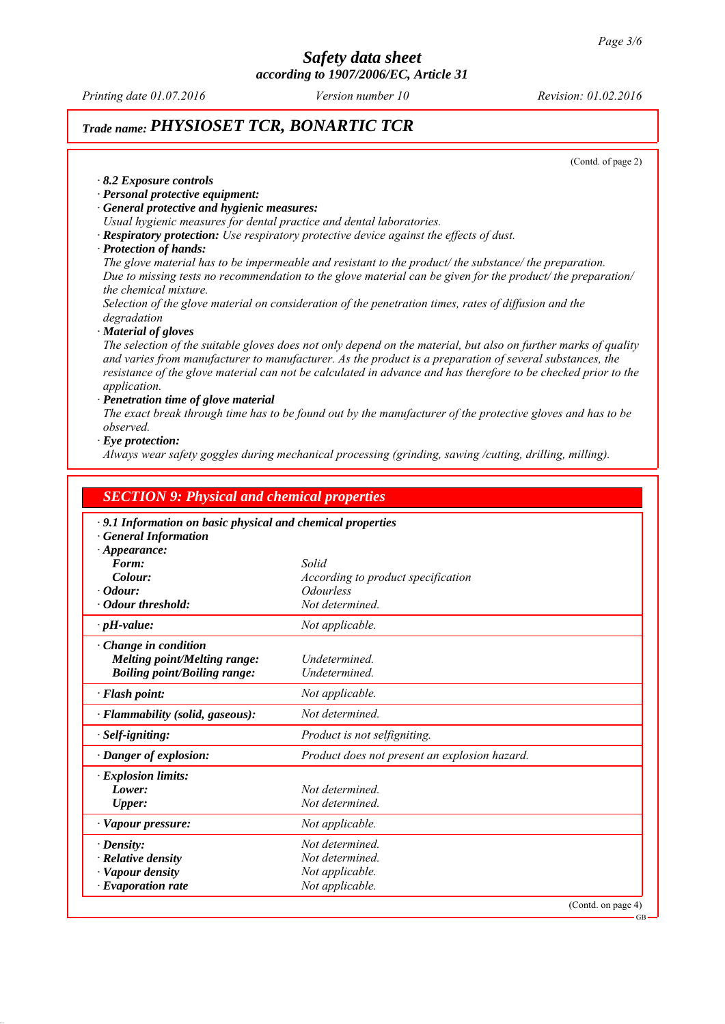*Printing date 01.07.2016 Revision: 01.02.2016 Version number 10*

### *Trade name: PHYSIOSET TCR, BONARTIC TCR*

(Contd. of page 2)

#### *∙ 8.2 Exposure controls*

- *∙ Personal protective equipment:*
- *∙ General protective and hygienic measures:*
- *Usual hygienic measures for dental practice and dental laboratories.*
- *∙ Respiratory protection: Use respiratory protective device against the effects of dust.*

#### *∙ Protection of hands:*

*The glove material has to be impermeable and resistant to the product/ the substance/ the preparation. Due to missing tests no recommendation to the glove material can be given for the product/ the preparation/ the chemical mixture.*

*Selection of the glove material on consideration of the penetration times, rates of diffusion and the degradation*

*∙ Material of gloves*

*The selection of the suitable gloves does not only depend on the material, but also on further marks of quality and varies from manufacturer to manufacturer. As the product is a preparation of several substances, the resistance of the glove material can not be calculated in advance and has therefore to be checked prior to the application.*

#### *∙ Penetration time of glove material*

*The exact break through time has to be found out by the manufacturer of the protective gloves and has to be observed.*

#### *∙ Eye protection:*

*Always wear safety goggles during mechanical processing (grinding, sawing /cutting, drilling, milling).*

| <b>SECTION 9: Physical and chemical properties</b><br>$\cdot$ 9.1 Information on basic physical and chemical properties<br><b>General Information</b> |                                                   |                                 |
|-------------------------------------------------------------------------------------------------------------------------------------------------------|---------------------------------------------------|---------------------------------|
|                                                                                                                                                       |                                                   |                                 |
| Form:                                                                                                                                                 | Solid                                             |                                 |
| Colour:                                                                                                                                               | According to product specification                |                                 |
| $\cdot$ Odour:<br>· Odour threshold:                                                                                                                  | <i><u><b>Odourless</b></u></i><br>Not determined. |                                 |
|                                                                                                                                                       |                                                   |                                 |
| $\cdot$ pH-value:                                                                                                                                     | Not applicable.                                   |                                 |
| $\cdot$ Change in condition<br>Melting point/Melting range:<br><b>Boiling point/Boiling range:</b>                                                    | Undetermined.<br>Undetermined.                    |                                 |
| $\cdot$ Flash point:                                                                                                                                  | Not applicable.                                   |                                 |
| $\cdot$ Flammability (solid, gaseous):                                                                                                                | Not determined.                                   |                                 |
| $\cdot$ Self-igniting:                                                                                                                                | Product is not selfigniting.                      |                                 |
| · Danger of explosion:                                                                                                                                | Product does not present an explosion hazard.     |                                 |
| $\cdot$ Explosion limits:                                                                                                                             |                                                   |                                 |
| Lower:                                                                                                                                                | Not determined.                                   |                                 |
| <b>Upper:</b>                                                                                                                                         | Not determined.                                   |                                 |
| $\cdot$ Vapour pressure:                                                                                                                              | Not applicable.                                   |                                 |
| $\cdot$ Density:                                                                                                                                      | Not determined.                                   |                                 |
| $\cdot$ Relative density                                                                                                                              | Not determined.                                   |                                 |
| · Vapour density                                                                                                                                      | Not applicable.                                   |                                 |
| $\cdot$ Evaporation rate                                                                                                                              | Not applicable.                                   |                                 |
|                                                                                                                                                       |                                                   | (Contd. on page 4)<br><b>CD</b> |

GB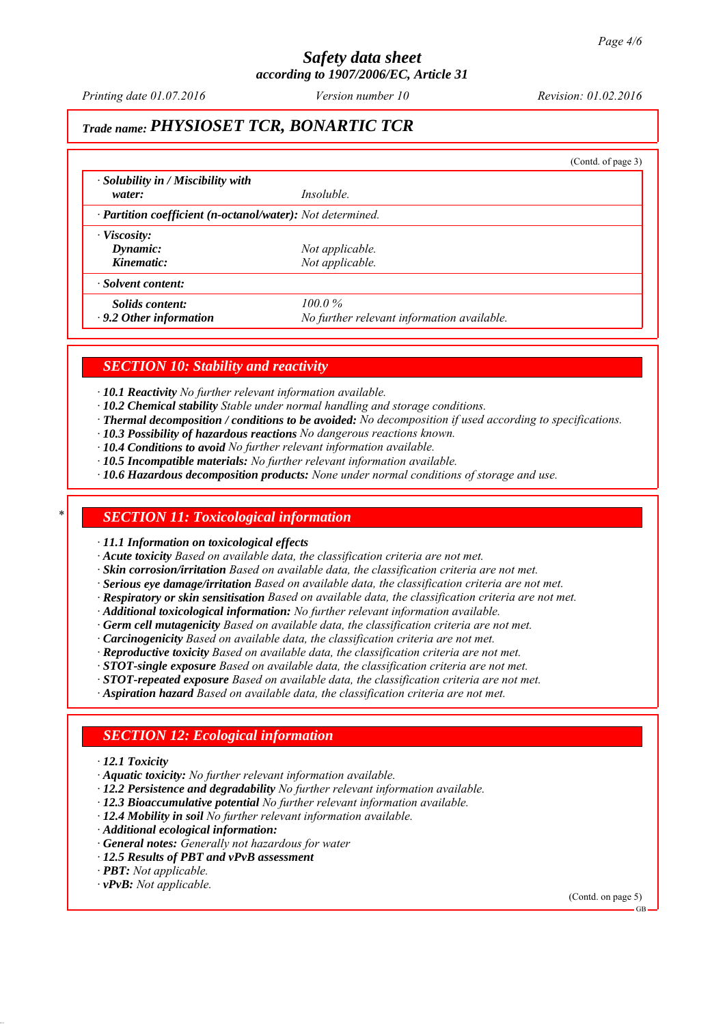*Printing date 01.07.2016 Revision: 01.02.2016 Version number 10*

# *Trade name: PHYSIOSET TCR, BONARTIC TCR*

|                                                                         |                                            | (Contd. of page 3) |
|-------------------------------------------------------------------------|--------------------------------------------|--------------------|
| $\cdot$ Solubility in / Miscibility with<br>water:                      | <i>Insoluble.</i>                          |                    |
| $\cdot$ <b>Partition coefficient (n-octanol/water):</b> Not determined. |                                            |                    |
|                                                                         |                                            |                    |
| $\cdot$ Viscosity:<br>Dynamic:                                          | Not applicable.                            |                    |
| Kinematic:                                                              | Not applicable.                            |                    |
| Solvent content:                                                        |                                            |                    |
| Solids content:                                                         | $100.0\%$                                  |                    |
| $\cdot$ 9.2 Other information                                           | No further relevant information available. |                    |

### *SECTION 10: Stability and reactivity*

*∙ 10.1 Reactivity No further relevant information available.*

- *∙ 10.2 Chemical stability Stable under normal handling and storage conditions.*
- *∙ Thermal decomposition / conditions to be avoided: No decomposition if used according to specifications.*
- *∙ 10.3 Possibility of hazardous reactions No dangerous reactions known.*
- *∙ 10.4 Conditions to avoid No further relevant information available.*
- *∙ 10.5 Incompatible materials: No further relevant information available.*
- *∙ 10.6 Hazardous decomposition products: None under normal conditions of storage and use.*

### *\* SECTION 11: Toxicological information*

*∙ 11.1 Information on toxicological effects*

*∙ Acute toxicity Based on available data, the classification criteria are not met.*

- *∙ Skin corrosion/irritation Based on available data, the classification criteria are not met.*
- *∙ Serious eye damage/irritation Based on available data, the classification criteria are not met.*
- *∙ Respiratory or skin sensitisation Based on available data, the classification criteria are not met.*
- *∙ Additional toxicological information: No further relevant information available.*
- *∙ Germ cell mutagenicity Based on available data, the classification criteria are not met.*
- *∙ Carcinogenicity Based on available data, the classification criteria are not met.*
- *∙ Reproductive toxicity Based on available data, the classification criteria are not met.*
- *∙ STOT-single exposure Based on available data, the classification criteria are not met.*
- *∙ STOT-repeated exposure Based on available data, the classification criteria are not met.*
- *∙ Aspiration hazard Based on available data, the classification criteria are not met.*

### *SECTION 12: Ecological information*

- *∙ 12.1 Toxicity*
- *∙ Aquatic toxicity: No further relevant information available.*
- *∙ 12.2 Persistence and degradability No further relevant information available.*
- *∙ 12.3 Bioaccumulative potential No further relevant information available.*
- *∙ 12.4 Mobility in soil No further relevant information available.*
- *∙ Additional ecological information:*
- *∙ General notes: Generally not hazardous for water*
- *∙ 12.5 Results of PBT and vPvB assessment*
- *∙ PBT: Not applicable.*
- *∙ vPvB: Not applicable.*

(Contd. on page 5)

GB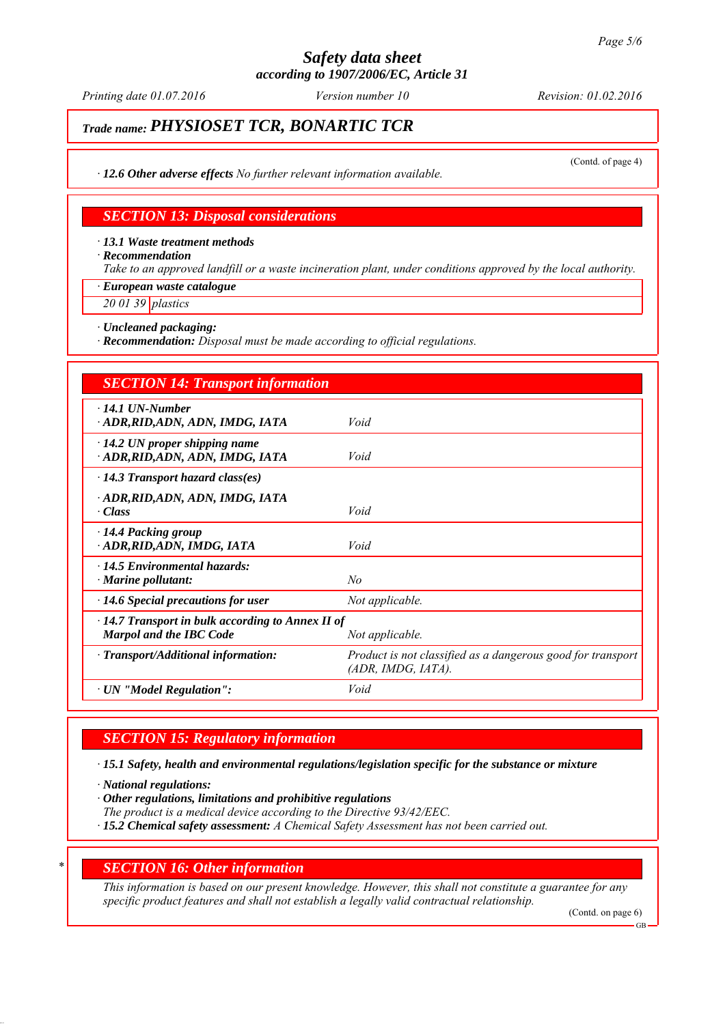# *Safety data sheet*

*according to 1907/2006/EC, Article 31*

*Printing date 01.07.2016 Revision: 01.02.2016 Version number 10*

# *Trade name: PHYSIOSET TCR, BONARTIC TCR*

(Contd. of page 4)

*∙ 12.6 Other adverse effects No further relevant information available.*

### *SECTION 13: Disposal considerations*

*∙ 13.1 Waste treatment methods*

*∙ Recommendation*

*Take to an approved landfill or a waste incineration plant, under conditions approved by the local authority.*

*∙ European waste catalogue*

*20 01 39 plastics*

*∙ Uncleaned packaging:*

*∙ Recommendation: Disposal must be made according to official regulations.*

| <b>SECTION 14: Transport information</b>                                                  |                                                                                   |
|-------------------------------------------------------------------------------------------|-----------------------------------------------------------------------------------|
| $\cdot$ 14.1 UN-Number<br>ADR,RID,ADN, ADN, IMDG, IATA                                    | Void                                                                              |
| $\cdot$ 14.2 UN proper shipping name<br>ADR,RID,ADN, ADN, IMDG, IATA                      | Void                                                                              |
| $\cdot$ 14.3 Transport hazard class(es)                                                   |                                                                                   |
| · ADR, RID, ADN, ADN, IMDG, IATA<br>· Class                                               | Void                                                                              |
| 14.4 Packing group<br>ADR, RID, ADN, IMDG, IATA                                           | Void                                                                              |
| $\cdot$ 14.5 Environmental hazards:<br>$\cdot$ Marine pollutant:                          | No                                                                                |
| $\cdot$ 14.6 Special precautions for user                                                 | Not applicable.                                                                   |
| $\cdot$ 14.7 Transport in bulk according to Annex II of<br><b>Marpol and the IBC Code</b> | Not applicable.                                                                   |
| $\cdot$ Transport/Additional information:                                                 | Product is not classified as a dangerous good for transport<br>(ADR, IMDG, IATA). |
| · UN "Model Regulation":                                                                  | Void                                                                              |

### *SECTION 15: Regulatory information*

*∙ 15.1 Safety, health and environmental regulations/legislation specific for the substance or mixture*

*∙ National regulations:*

*∙ Other regulations, limitations and prohibitive regulations*

*The product is a medical device according to the Directive 93/42/EEC.*

*∙ 15.2 Chemical safety assessment: A Chemical Safety Assessment has not been carried out.*

### *\* SECTION 16: Other information*

*This information is based on our present knowledge. However, this shall not constitute a guarantee for any specific product features and shall not establish a legally valid contractual relationship.*

(Contd. on page 6)

GB